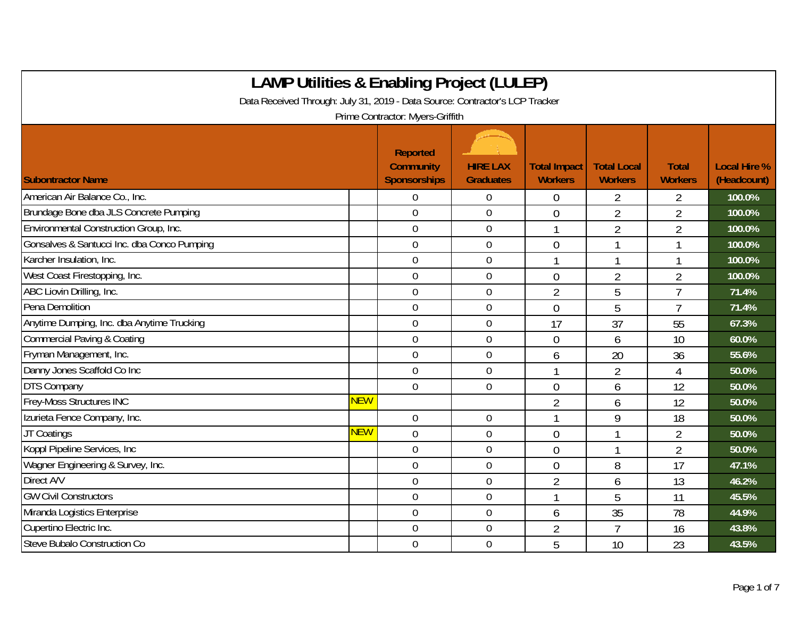| <b>LAMP Utilities &amp; Enabling Project (LULEP)</b>                                                             |            |                                                            |                                     |                                       |                                      |                                |                                    |  |  |  |
|------------------------------------------------------------------------------------------------------------------|------------|------------------------------------------------------------|-------------------------------------|---------------------------------------|--------------------------------------|--------------------------------|------------------------------------|--|--|--|
| Data Received Through: July 31, 2019 - Data Source: Contractor's LCP Tracker<br>Prime Contractor: Myers-Griffith |            |                                                            |                                     |                                       |                                      |                                |                                    |  |  |  |
| <b>Subontractor Name</b>                                                                                         |            | <b>Reported</b><br><b>Community</b><br><b>Sponsorships</b> | <b>HIRE LAX</b><br><b>Graduates</b> | <b>Total Impact</b><br><b>Workers</b> | <b>Total Local</b><br><b>Workers</b> | <b>Total</b><br><b>Workers</b> | <b>Local Hire %</b><br>(Headcount) |  |  |  |
| American Air Balance Co., Inc.                                                                                   |            | $\overline{0}$                                             | $\theta$                            | $\overline{0}$                        | $\overline{2}$                       | 2                              | 100.0%                             |  |  |  |
| Brundage Bone dba JLS Concrete Pumping                                                                           |            | $\overline{0}$                                             | $\overline{0}$                      | $\overline{0}$                        | $\overline{2}$                       | $\overline{2}$                 | 100.0%                             |  |  |  |
| Environmental Construction Group, Inc.                                                                           |            | $\overline{0}$                                             | $\overline{0}$                      | 1                                     | $\overline{2}$                       | $\overline{2}$                 | 100.0%                             |  |  |  |
| Gonsalves & Santucci Inc. dba Conco Pumping                                                                      |            | $\mathbf 0$                                                | $\mathbf 0$                         | $\overline{0}$                        |                                      | 1                              | 100.0%                             |  |  |  |
| Karcher Insulation, Inc.                                                                                         |            | $\mathbf 0$                                                | $\mathbf 0$                         | $\mathbf{1}$                          | -1                                   | $\mathbf{1}$                   | 100.0%                             |  |  |  |
| West Coast Firestopping, Inc.                                                                                    |            | $\mathbf 0$                                                | $\boldsymbol{0}$                    | $\overline{0}$                        | $\overline{2}$                       | $\overline{2}$                 | 100.0%                             |  |  |  |
| ABC Liovin Drilling, Inc.                                                                                        |            | $\mathbf 0$                                                | $\overline{0}$                      | $\overline{2}$                        | 5                                    | $\overline{7}$                 | 71.4%                              |  |  |  |
| Pena Demolition                                                                                                  |            | $\mathbf 0$                                                | $\mathbf 0$                         | $\overline{0}$                        | 5                                    | $\overline{1}$                 | 71.4%                              |  |  |  |
| Anytime Dumping, Inc. dba Anytime Trucking                                                                       |            | $\overline{0}$                                             | $\overline{0}$                      | 17                                    | 37                                   | 55                             | 67.3%                              |  |  |  |
| <b>Commercial Paving &amp; Coating</b>                                                                           |            | $\overline{0}$                                             | $\overline{0}$                      | $\overline{0}$                        | 6                                    | 10                             | 60.0%                              |  |  |  |
| Fryman Management, Inc.                                                                                          |            | $\mathbf 0$                                                | $\mathbf 0$                         | 6                                     | 20                                   | 36                             | 55.6%                              |  |  |  |
| Danny Jones Scaffold Co Inc                                                                                      |            | $\mathbf 0$                                                | $\overline{0}$                      | $\mathbf{1}$                          | $\overline{2}$                       | $\overline{4}$                 | 50.0%                              |  |  |  |
| <b>DTS Company</b>                                                                                               |            | $\overline{0}$                                             | $\overline{0}$                      | $\overline{0}$                        | 6                                    | 12                             | 50.0%                              |  |  |  |
| Frey-Moss Structures INC                                                                                         | <b>NEW</b> |                                                            |                                     | $\overline{2}$                        | 6                                    | 12                             | 50.0%                              |  |  |  |
| Izurieta Fence Company, Inc.                                                                                     |            | $\overline{0}$                                             | $\mathbf 0$                         |                                       | 9                                    | 18                             | 50.0%                              |  |  |  |
| JT Coatings                                                                                                      | <b>NEW</b> | $\overline{0}$                                             | $\mathbf 0$                         | $\overline{0}$                        |                                      | $\overline{2}$                 | 50.0%                              |  |  |  |
| Koppl Pipeline Services, Inc.                                                                                    |            | $\overline{0}$                                             | $\mathbf 0$                         | $\overline{0}$                        | 1                                    | $\overline{2}$                 | 50.0%                              |  |  |  |
| Wagner Engineering & Survey, Inc.                                                                                |            | $\mathbf 0$                                                | $\mathbf 0$                         | $\overline{0}$                        | 8                                    | 17                             | 47.1%                              |  |  |  |
| Direct A/V                                                                                                       |            | $\mathbf 0$                                                | $\mathbf 0$                         | $\overline{2}$                        | 6                                    | 13                             | 46.2%                              |  |  |  |
| <b>GW Civil Constructors</b>                                                                                     |            | $\overline{0}$                                             | $\boldsymbol{0}$                    |                                       | 5                                    | 11                             | 45.5%                              |  |  |  |
| Miranda Logistics Enterprise                                                                                     |            | $\overline{0}$                                             | $\mathbf 0$                         | 6                                     | 35                                   | 78                             | 44.9%                              |  |  |  |
| Cupertino Electric Inc.                                                                                          |            | $\overline{0}$                                             | $\overline{0}$                      | $\overline{2}$                        | $\overline{7}$                       | 16                             | 43.8%                              |  |  |  |
| Steve Bubalo Construction Co                                                                                     |            | $\overline{0}$                                             | $\mathbf 0$                         | 5                                     | 10                                   | 23                             | 43.5%                              |  |  |  |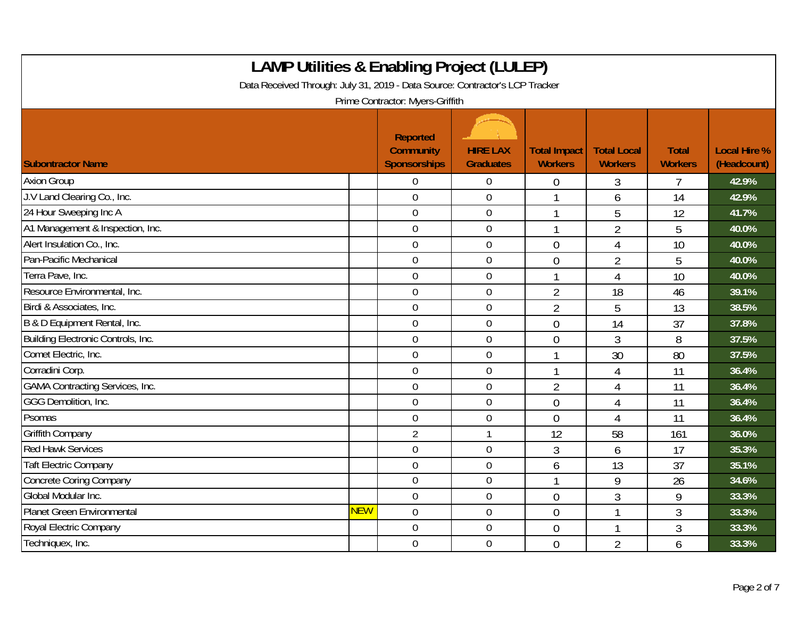| <b>LAMP Utilities &amp; Enabling Project (LULEP)</b><br>Data Received Through: July 31, 2019 - Data Source: Contractor's LCP Tracker<br>Prime Contractor: Myers-Griffith |            |                                                     |                                     |                                       |                                      |                                |                                    |  |
|--------------------------------------------------------------------------------------------------------------------------------------------------------------------------|------------|-----------------------------------------------------|-------------------------------------|---------------------------------------|--------------------------------------|--------------------------------|------------------------------------|--|
| <b>Subontractor Name</b>                                                                                                                                                 |            | Reported<br><b>Community</b><br><b>Sponsorships</b> | <b>HIRE LAX</b><br><b>Graduates</b> | <b>Total Impact</b><br><b>Workers</b> | <b>Total Local</b><br><b>Workers</b> | <b>Total</b><br><b>Workers</b> | <b>Local Hire %</b><br>(Headcount) |  |
| <b>Axion Group</b>                                                                                                                                                       |            | 0                                                   | $\overline{0}$                      | 0                                     | 3                                    | 7                              | 42.9%                              |  |
| J.V Land Clearing Co., Inc.                                                                                                                                              |            | $\mathbf 0$                                         | $\overline{0}$                      |                                       | 6                                    | 14                             | 42.9%                              |  |
| 24 Hour Sweeping Inc A                                                                                                                                                   |            | $\overline{0}$                                      | $\boldsymbol{0}$                    |                                       | 5                                    | 12                             | 41.7%                              |  |
| A1 Management & Inspection, Inc.                                                                                                                                         |            | $\boldsymbol{0}$                                    | $\boldsymbol{0}$                    | $\mathbf 1$                           | $\overline{2}$                       | 5                              | 40.0%                              |  |
| Alert Insulation Co., Inc.                                                                                                                                               |            | $\mathbf 0$                                         | $\mathbf 0$                         | $\overline{0}$                        | 4                                    | 10                             | 40.0%                              |  |
| Pan-Pacific Mechanical                                                                                                                                                   |            | $\mathbf 0$                                         | $\mathbf 0$                         | $\overline{0}$                        | $\overline{2}$                       | 5                              | 40.0%                              |  |
| Terra Pave, Inc.                                                                                                                                                         |            | $\mathbf 0$                                         | $\overline{0}$                      | 1                                     | $\overline{4}$                       | 10                             | 40.0%                              |  |
| Resource Environmental, Inc.                                                                                                                                             |            | $\overline{0}$                                      | $\mathbf 0$                         | $\overline{2}$                        | 18                                   | 46                             | 39.1%                              |  |
| Birdi & Associates, Inc.                                                                                                                                                 |            | $\overline{0}$                                      | $\boldsymbol{0}$                    | $\overline{2}$                        | 5                                    | 13                             | 38.5%                              |  |
| B & D Equipment Rental, Inc.                                                                                                                                             |            | $\mathbf 0$                                         | $\mathbf 0$                         | $\overline{0}$                        | 14                                   | 37                             | 37.8%                              |  |
| Building Electronic Controls, Inc.                                                                                                                                       |            | $\overline{0}$                                      | $\mathbf 0$                         | $\overline{0}$                        | 3                                    | 8                              | 37.5%                              |  |
| Comet Electric, Inc.                                                                                                                                                     |            | $\overline{0}$                                      | $\mathbf 0$                         |                                       | 30                                   | 80                             | 37.5%                              |  |
| Corradini Corp.                                                                                                                                                          |            | $\overline{0}$                                      | $\overline{0}$                      | 1                                     | $\overline{4}$                       | 11                             | 36.4%                              |  |
| <b>GAMA Contracting Services, Inc.</b>                                                                                                                                   |            | $\mathbf 0$                                         | $\boldsymbol{0}$                    | $\overline{2}$                        | $\overline{4}$                       | 11                             | 36.4%                              |  |
| GGG Demolition, Inc.                                                                                                                                                     |            | $\mathbf 0$                                         | $\boldsymbol{0}$                    | $\overline{0}$                        | 4                                    | 11                             | 36.4%                              |  |
| Psomas                                                                                                                                                                   |            | $\overline{0}$                                      | $\mathbf 0$                         | $\overline{0}$                        | $\overline{4}$                       | 11                             | 36.4%                              |  |
| <b>Griffith Company</b>                                                                                                                                                  |            | $\overline{2}$                                      | $\mathbf{1}$                        | 12                                    | 58                                   | 161                            | 36.0%                              |  |
| <b>Red Hawk Services</b>                                                                                                                                                 |            | $\mathbf 0$                                         | $\mathbf 0$                         | $\mathfrak{Z}$                        | 6                                    | 17                             | 35.3%                              |  |
| <b>Taft Electric Company</b>                                                                                                                                             |            | $\overline{0}$                                      | $\mathbf 0$                         | 6                                     | 13                                   | 37                             | 35.1%                              |  |
| <b>Concrete Coring Company</b>                                                                                                                                           |            | $\mathbf 0$                                         | $\overline{0}$                      |                                       | 9                                    | 26                             | 34.6%                              |  |
| Global Modular Inc.                                                                                                                                                      |            | $\mathbf 0$                                         | $\boldsymbol{0}$                    | $\theta$                              | 3                                    | 9                              | 33.3%                              |  |
| Planet Green Environmental                                                                                                                                               | <b>NEW</b> | $\overline{0}$                                      | $\mathbf 0$                         | $\overline{0}$                        | 1                                    | 3                              | 33.3%                              |  |
| Royal Electric Company                                                                                                                                                   |            | $\overline{0}$                                      | $\boldsymbol{0}$                    | $\overline{0}$                        | 1                                    | 3                              | 33.3%                              |  |
| Techniquex, Inc.                                                                                                                                                         |            | $\mathbf 0$                                         | $\mathbf 0$                         | $\overline{0}$                        | $\overline{2}$                       | 6                              | 33.3%                              |  |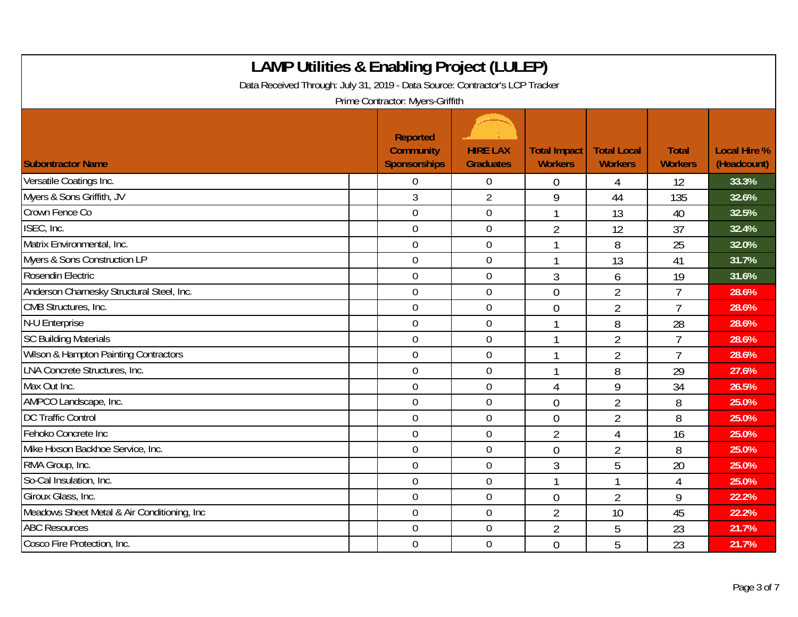| <b>LAMP Utilities &amp; Enabling Project (LULEP)</b><br>Data Received Through: July 31, 2019 - Data Source: Contractor's LCP Tracker<br>Prime Contractor: Myers-Griffith |                                                     |                                     |                                       |                                      |                                |                                    |  |  |  |
|--------------------------------------------------------------------------------------------------------------------------------------------------------------------------|-----------------------------------------------------|-------------------------------------|---------------------------------------|--------------------------------------|--------------------------------|------------------------------------|--|--|--|
| <b>Subontractor Name</b>                                                                                                                                                 | Reported<br><b>Community</b><br><b>Sponsorships</b> | <b>HIRE LAX</b><br><b>Graduates</b> | <b>Total Impact</b><br><b>Workers</b> | <b>Total Local</b><br><b>Workers</b> | <b>Total</b><br><b>Workers</b> | <b>Local Hire %</b><br>(Headcount) |  |  |  |
| Versatile Coatings Inc.                                                                                                                                                  | $\Omega$                                            | $\mathbf 0$                         | $\boldsymbol{0}$                      | 4                                    | 12                             | 33.3%                              |  |  |  |
| Myers & Sons Griffith, JV                                                                                                                                                | 3                                                   | $\overline{2}$                      | 9                                     | 44                                   | 135                            | 32.6%                              |  |  |  |
| Crown Fence Co                                                                                                                                                           | $\overline{0}$                                      | $\boldsymbol{0}$                    |                                       | 13                                   | 40                             | 32.5%                              |  |  |  |
| ISEC, Inc.                                                                                                                                                               | $\mathbf 0$                                         | $\boldsymbol{0}$                    | $\overline{2}$                        | 12                                   | 37                             | 32.4%                              |  |  |  |
| Matrix Environmental, Inc.                                                                                                                                               | $\overline{0}$                                      | $\mathbf 0$                         |                                       | 8                                    | 25                             | 32.0%                              |  |  |  |
| Myers & Sons Construction LP                                                                                                                                             | $\overline{0}$                                      | $\mathbf 0$                         |                                       | 13                                   | 41                             | 31.7%                              |  |  |  |
| Rosendin Electric                                                                                                                                                        | $\mathbf 0$                                         | $\mathbf 0$                         | $\overline{3}$                        | 6                                    | 19                             | 31.6%                              |  |  |  |
| Anderson Charnesky Structural Steel, Inc.                                                                                                                                | $\overline{0}$                                      | $\mathbf 0$                         | $\overline{0}$                        | $\overline{2}$                       | $\overline{1}$                 | 28.6%                              |  |  |  |
| CMB Structures, Inc.                                                                                                                                                     | $\mathbf 0$                                         | $\mathbf 0$                         | $\mathbf 0$                           | $\overline{2}$                       | $\overline{7}$                 | 28.6%                              |  |  |  |
| N-U Enterprise                                                                                                                                                           | $\mathbf 0$                                         | $\mathbf 0$                         |                                       | 8                                    | 28                             | 28.6%                              |  |  |  |
| <b>SC Building Materials</b>                                                                                                                                             | $\overline{0}$                                      | $\mathbf 0$                         |                                       | $\overline{2}$                       | $\overline{1}$                 | 28.6%                              |  |  |  |
| Wilson & Hampton Painting Contractors                                                                                                                                    | $\overline{0}$                                      | $\boldsymbol{0}$                    |                                       | $\overline{2}$                       | $\overline{7}$                 | 28.6%                              |  |  |  |
| LNA Concrete Structures, Inc.                                                                                                                                            | $\mathbf 0$                                         | $\mathbf 0$                         |                                       | 8                                    | 29                             | 27.6%                              |  |  |  |
| Max Out Inc.                                                                                                                                                             | $\overline{0}$                                      | $\mathbf 0$                         | $\overline{4}$                        | 9                                    | 34                             | 26.5%                              |  |  |  |
| AMPCO Landscape, Inc.                                                                                                                                                    | $\overline{0}$                                      | $\mathbf 0$                         | $\theta$                              | $\overline{2}$                       | 8                              | 25.0%                              |  |  |  |
| <b>DC Traffic Control</b>                                                                                                                                                | $\mathbf 0$                                         | $\boldsymbol{0}$                    | $\mathbf 0$                           | $\overline{2}$                       | 8                              | 25.0%                              |  |  |  |
| Fehoko Concrete Inc                                                                                                                                                      | $\overline{0}$                                      | 0                                   | $\overline{2}$                        | 4                                    | 16                             | 25.0%                              |  |  |  |
| Mike Hixson Backhoe Service, Inc.                                                                                                                                        | $\overline{0}$                                      | $\mathbf 0$                         | $\theta$                              | $\overline{2}$                       | 8                              | 25.0%                              |  |  |  |
| RMA Group, Inc.                                                                                                                                                          | $\mathbf 0$                                         | $\mathbf 0$                         | 3                                     | 5                                    | 20                             | 25.0%                              |  |  |  |
| So-Cal Insulation, Inc.                                                                                                                                                  | $\overline{0}$                                      | $\mathbf 0$                         |                                       | 1                                    | 4                              | 25.0%                              |  |  |  |
| Giroux Glass, Inc.                                                                                                                                                       | $\mathbf 0$                                         | $\mathbf 0$                         | $\theta$                              | $\overline{2}$                       | 9                              | 22.2%                              |  |  |  |
| Meadows Sheet Metal & Air Conditioning, Inc                                                                                                                              | $\mathbf 0$                                         | $\boldsymbol{0}$                    | $\overline{2}$                        | 10                                   | 45                             | 22.2%                              |  |  |  |
| <b>ABC Resources</b>                                                                                                                                                     | $\overline{0}$                                      | $\mathbf 0$                         | $\overline{2}$                        | 5                                    | 23                             | 21.7%                              |  |  |  |
| Cosco Fire Protection, Inc.                                                                                                                                              | $\overline{0}$                                      | $\boldsymbol{0}$                    | $\overline{0}$                        | 5                                    | 23                             | 21.7%                              |  |  |  |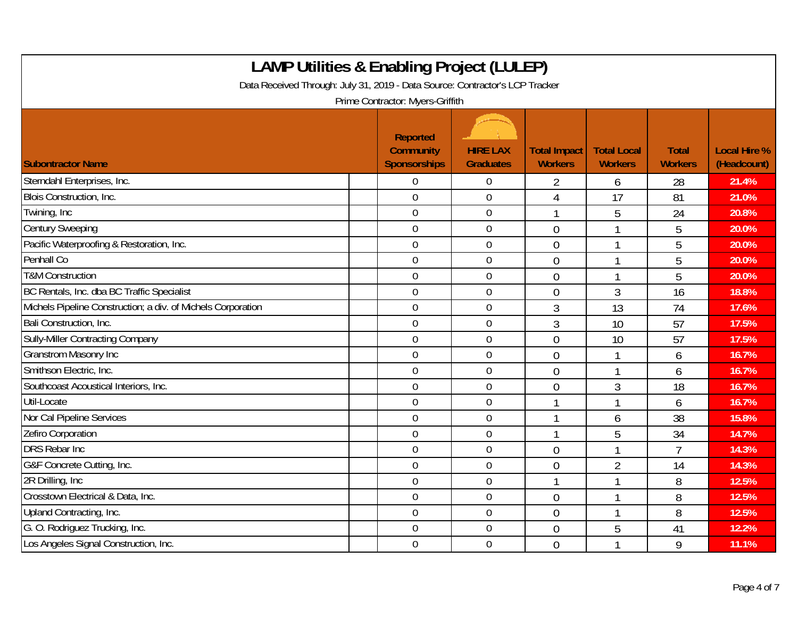| <b>LAMP Utilities &amp; Enabling Project (LULEP)</b><br>Data Received Through: July 31, 2019 - Data Source: Contractor's LCP Tracker<br>Prime Contractor: Myers-Griffith |                                              |                                     |                                       |                                      |                                |                                    |  |  |  |
|--------------------------------------------------------------------------------------------------------------------------------------------------------------------------|----------------------------------------------|-------------------------------------|---------------------------------------|--------------------------------------|--------------------------------|------------------------------------|--|--|--|
| <b>Subontractor Name</b>                                                                                                                                                 | Reported<br><b>Community</b><br>Sponsorships | <b>HIRE LAX</b><br><b>Graduates</b> | <b>Total Impact</b><br><b>Workers</b> | <b>Total Local</b><br><b>Workers</b> | <b>Total</b><br><b>Workers</b> | <b>Local Hire %</b><br>(Headcount) |  |  |  |
| Sterndahl Enterprises, Inc.                                                                                                                                              | $\overline{0}$                               | 0                                   | 2                                     | 6                                    | 28                             | 21.4%                              |  |  |  |
| Blois Construction, Inc.                                                                                                                                                 | $\overline{0}$                               | $\overline{0}$                      | 4                                     | 17                                   | 81                             | 21.0%                              |  |  |  |
| Twining, Inc                                                                                                                                                             | $\mathbf 0$                                  | $\boldsymbol{0}$                    | $\mathbf{1}$                          | 5                                    | 24                             | 20.8%                              |  |  |  |
| <b>Century Sweeping</b>                                                                                                                                                  | $\overline{0}$                               | $\mathbf 0$                         | $\overline{0}$                        |                                      | 5                              | 20.0%                              |  |  |  |
| Pacific Waterproofing & Restoration, Inc.                                                                                                                                | $\overline{0}$                               | $\mathbf 0$                         | $\overline{0}$                        |                                      | 5                              | 20.0%                              |  |  |  |
| Penhall Co                                                                                                                                                               | $\mathbf 0$                                  | $\mathbf 0$                         | $\theta$                              | 1                                    | 5                              | 20.0%                              |  |  |  |
| <b>T&amp;M Construction</b>                                                                                                                                              | $\theta$                                     | $\mathbf 0$                         | $\overline{0}$                        |                                      | 5                              | 20.0%                              |  |  |  |
| BC Rentals, Inc. dba BC Traffic Specialist                                                                                                                               | $\mathbf 0$                                  | $\boldsymbol{0}$                    | $\overline{0}$                        | 3                                    | 16                             | 18.8%                              |  |  |  |
| Michels Pipeline Construction; a div. of Michels Corporation                                                                                                             | $\mathbf 0$                                  | $\boldsymbol{0}$                    | 3                                     | 13                                   | 74                             | 17.6%                              |  |  |  |
| Bali Construction, Inc.                                                                                                                                                  | $\overline{0}$                               | $\mathbf 0$                         | $\mathfrak{Z}$                        | 10                                   | 57                             | 17.5%                              |  |  |  |
| <b>Sully-Miller Contracting Company</b>                                                                                                                                  | $\mathbf 0$                                  | $\mathbf 0$                         | $\overline{0}$                        | 10                                   | 57                             | 17.5%                              |  |  |  |
| <b>Granstrom Masonry Inc</b>                                                                                                                                             | $\mathbf 0$                                  | $\mathbf 0$                         | $\theta$                              |                                      | 6                              | 16.7%                              |  |  |  |
| Smithson Electric, Inc.                                                                                                                                                  | $\mathbf 0$                                  | $\overline{0}$                      | $\mathbf{0}$                          |                                      | 6                              | 16.7%                              |  |  |  |
| Southcoast Acoustical Interiors, Inc.                                                                                                                                    | $\mathbf 0$                                  | $\mathbf 0$                         | $\overline{0}$                        | 3                                    | 18                             | 16.7%                              |  |  |  |
| Util-Locate                                                                                                                                                              | $\mathbf 0$                                  | $\mathbf 0$                         |                                       |                                      | 6                              | 16.7%                              |  |  |  |
| Nor Cal Pipeline Services                                                                                                                                                | $\boldsymbol{0}$                             | $\boldsymbol{0}$                    | $\mathbf{1}$                          | 6                                    | 38                             | 15.8%                              |  |  |  |
| Zefiro Corporation                                                                                                                                                       | $\overline{0}$                               | $\mathbf 0$                         | $\mathbf{1}$                          | 5                                    | 34                             | 14.7%                              |  |  |  |
| <b>DRS Rebar Inc</b>                                                                                                                                                     | $\overline{0}$                               | $\mathbf 0$                         | $\theta$                              |                                      | $\overline{1}$                 | 14.3%                              |  |  |  |
| G&F Concrete Cutting, Inc.                                                                                                                                               | $\boldsymbol{0}$                             | $\mathbf 0$                         | $\mathbf{0}$                          | $\overline{2}$                       | 14                             | 14.3%                              |  |  |  |
| 2R Drilling, Inc.                                                                                                                                                        | $\theta$                                     | $\mathbf 0$                         | 1                                     |                                      | 8                              | 12.5%                              |  |  |  |
| Crosstown Electrical & Data, Inc.                                                                                                                                        | $\mathbf 0$                                  | $\mathbf 0$                         | $\mathbf{0}$                          |                                      | 8                              | 12.5%                              |  |  |  |
| Upland Contracting, Inc.                                                                                                                                                 | $\boldsymbol{0}$                             | $\boldsymbol{0}$                    | $\mathbf{0}$                          |                                      | 8                              | 12.5%                              |  |  |  |
| G. O. Rodriguez Trucking, Inc.                                                                                                                                           | $\overline{0}$                               | $\mathbf 0$                         | $\theta$                              | 5                                    | 41                             | 12.2%                              |  |  |  |
| Los Angeles Signal Construction, Inc.                                                                                                                                    | $\overline{0}$                               | $\mathbf 0$                         | $\overline{0}$                        |                                      | 9                              | 11.1%                              |  |  |  |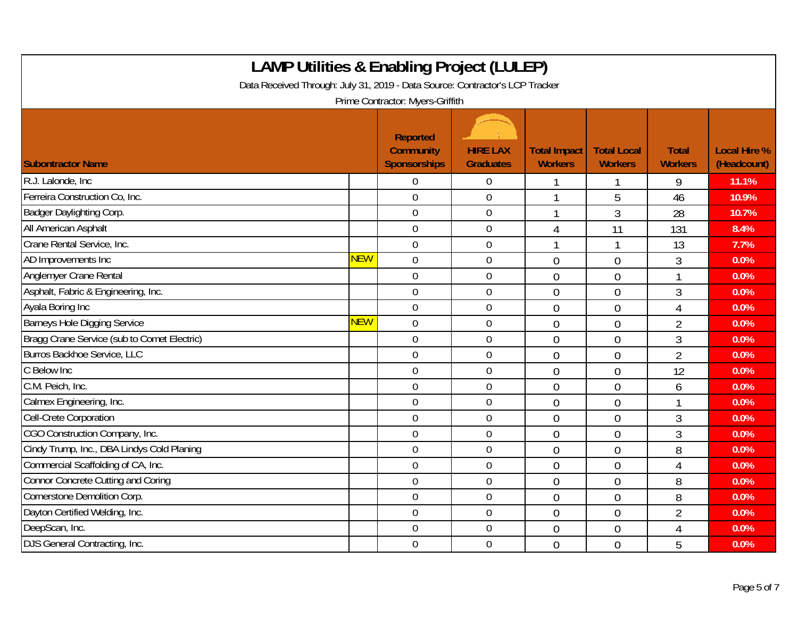| <b>LAMP Utilities &amp; Enabling Project (LULEP)</b><br>Data Received Through: July 31, 2019 - Data Source: Contractor's LCP Tracker<br>Prime Contractor: Myers-Griffith |            |                                              |                                     |                                       |                                      |                                |                                    |  |  |
|--------------------------------------------------------------------------------------------------------------------------------------------------------------------------|------------|----------------------------------------------|-------------------------------------|---------------------------------------|--------------------------------------|--------------------------------|------------------------------------|--|--|
| <b>Subontractor Name</b>                                                                                                                                                 |            | Reported<br><b>Community</b><br>Sponsorships | <b>HIRE LAX</b><br><b>Graduates</b> | <b>Total Impact</b><br><b>Workers</b> | <b>Total Local</b><br><b>Workers</b> | <b>Total</b><br><b>Workers</b> | <b>Local Hire %</b><br>(Headcount) |  |  |
| R.J. Lalonde, Inc.                                                                                                                                                       |            | 0                                            | $\overline{0}$                      |                                       |                                      | 9                              | 11.1%                              |  |  |
| Ferreira Construction Co, Inc.                                                                                                                                           |            | $\overline{0}$                               | $\overline{0}$                      | $\mathbf{1}$                          | 5                                    | 46                             | 10.9%                              |  |  |
| Badger Daylighting Corp.                                                                                                                                                 |            | $\mathbf 0$                                  | $\boldsymbol{0}$                    | 1                                     | 3                                    | 28                             | 10.7%                              |  |  |
| All American Asphalt                                                                                                                                                     |            | $\overline{0}$                               | $\mathbf 0$                         | $\overline{4}$                        | 11                                   | 131                            | 8.4%                               |  |  |
| Crane Rental Service, Inc.                                                                                                                                               |            | $\overline{0}$                               | $\mathbf 0$                         | 1                                     |                                      | 13                             | 7.7%                               |  |  |
| AD Improvements Inc                                                                                                                                                      | <b>NEW</b> | $\overline{0}$                               | $\boldsymbol{0}$                    | $\overline{0}$                        | $\overline{0}$                       | 3                              | 0.0%                               |  |  |
| Anglemyer Crane Rental                                                                                                                                                   |            | $\overline{0}$                               | $\mathbf 0$                         | $\theta$                              | $\overline{0}$                       | 1                              | 0.0%                               |  |  |
| Asphalt, Fabric & Engineering, Inc.                                                                                                                                      |            | $\overline{0}$                               | $\mathbf 0$                         | $\theta$                              | $\theta$                             | 3                              | 0.0%                               |  |  |
| Ayala Boring Inc                                                                                                                                                         |            | $\mathbf 0$                                  | $\mathbf 0$                         | $\overline{0}$                        | $\overline{0}$                       | 4                              | 0.0%                               |  |  |
| <b>Barneys Hole Digging Service</b>                                                                                                                                      | <b>NEW</b> | $\mathbf 0$                                  | $\boldsymbol{0}$                    | $\overline{0}$                        | $\overline{0}$                       | $\overline{2}$                 | 0.0%                               |  |  |
| Bragg Crane Service (sub to Comet Electric)                                                                                                                              |            | $\overline{0}$                               | $\mathbf 0$                         | $\overline{0}$                        | $\overline{0}$                       | 3                              | 0.0%                               |  |  |
| Burros Backhoe Service, LLC                                                                                                                                              |            | $\overline{0}$                               | $\mathbf 0$                         | $\overline{0}$                        | $\overline{0}$                       | $\overline{2}$                 | 0.0%                               |  |  |
| C Below Inc                                                                                                                                                              |            | $\boldsymbol{0}$                             | $\overline{0}$                      | $\overline{0}$                        | $\overline{0}$                       | 12                             | 0.0%                               |  |  |
| C.M. Peich, Inc.                                                                                                                                                         |            | $\mathbf 0$                                  | $\mathbf 0$                         | $\overline{0}$                        | $\overline{0}$                       | 6                              | 0.0%                               |  |  |
| Calmex Engineering, Inc.                                                                                                                                                 |            | $\mathbf 0$                                  | $\boldsymbol{0}$                    | $\overline{0}$                        | $\overline{0}$                       | 1                              | 0.0%                               |  |  |
| Cell-Crete Corporation                                                                                                                                                   |            | $\mathbf 0$                                  | $\mathbf 0$                         | $\mathbf{0}$                          | $\overline{0}$                       | 3                              | 0.0%                               |  |  |
| CGO Construction Company, Inc.                                                                                                                                           |            | $\mathbf 0$                                  | $\mathbf 0$                         | $\overline{0}$                        | $\overline{0}$                       | 3                              | 0.0%                               |  |  |
| Cindy Trump, Inc., DBA Lindys Cold Planing                                                                                                                               |            | $\mathbf 0$                                  | $\mathbf 0$                         | $\overline{0}$                        | $\overline{0}$                       | 8                              | 0.0%                               |  |  |
| Commercial Scaffolding of CA, Inc.                                                                                                                                       |            | $\mathbf 0$                                  | $\mathbf 0$                         | $\overline{0}$                        | $\overline{0}$                       | 4                              | 0.0%                               |  |  |
| <b>Connor Concrete Cutting and Coring</b>                                                                                                                                |            | $\overline{0}$                               | $\boldsymbol{0}$                    | $\overline{0}$                        | $\overline{0}$                       | 8                              | 0.0%                               |  |  |
| Cornerstone Demolition Corp.                                                                                                                                             |            | $\mathbf 0$                                  | $\boldsymbol{0}$                    | $\overline{0}$                        | $\overline{0}$                       | 8                              | 0.0%                               |  |  |
| Dayton Certified Welding, Inc.                                                                                                                                           |            | $\mathbf 0$                                  | $\mathbf 0$                         | $\overline{0}$                        | $\overline{0}$                       | $\overline{2}$                 | 0.0%                               |  |  |
| DeepScan, Inc.                                                                                                                                                           |            | $\overline{0}$                               | $\mathbf 0$                         | $\theta$                              | $\overline{0}$                       | 4                              | 0.0%                               |  |  |
| DJS General Contracting, Inc.                                                                                                                                            |            | $\mathbf 0$                                  | $\mathbf 0$                         | $\overline{0}$                        | $\overline{0}$                       | 5                              | 0.0%                               |  |  |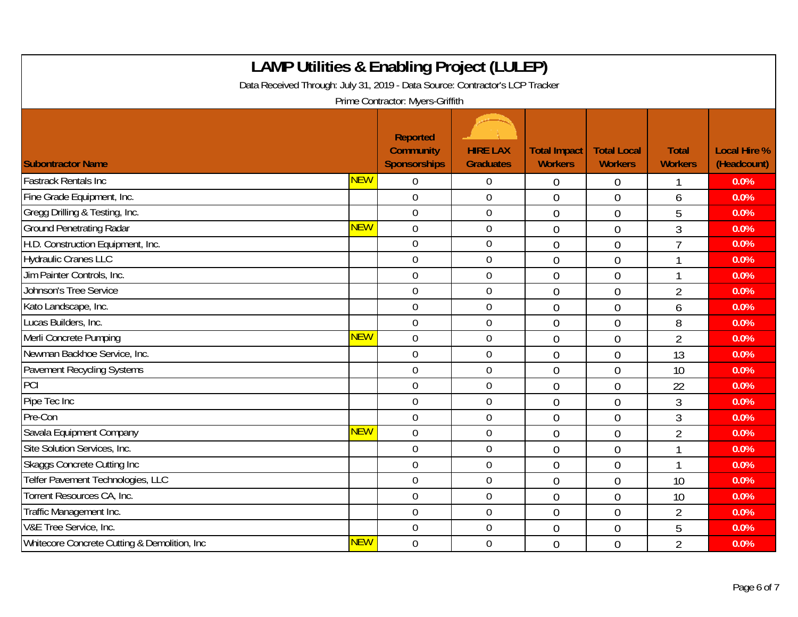| <b>LAMP Utilities &amp; Enabling Project (LULEP)</b><br>Data Received Through: July 31, 2019 - Data Source: Contractor's LCP Tracker<br>Prime Contractor: Myers-Griffith |            |                                                     |                                     |                                       |                                      |                                |                                    |  |
|--------------------------------------------------------------------------------------------------------------------------------------------------------------------------|------------|-----------------------------------------------------|-------------------------------------|---------------------------------------|--------------------------------------|--------------------------------|------------------------------------|--|
| <b>Subontractor Name</b>                                                                                                                                                 |            | Reported<br><b>Community</b><br><b>Sponsorships</b> | <b>HIRE LAX</b><br><b>Graduates</b> | <b>Total Impact</b><br><b>Workers</b> | <b>Total Local</b><br><b>Workers</b> | <b>Total</b><br><b>Workers</b> | <b>Local Hire %</b><br>(Headcount) |  |
| <b>Fastrack Rentals Inc</b>                                                                                                                                              | <b>NEW</b> | 0                                                   | $\mathbf 0$                         | $\overline{0}$                        | $\mathbf 0$                          |                                | 0.0%                               |  |
| Fine Grade Equipment, Inc.                                                                                                                                               |            | $\overline{0}$                                      | $\boldsymbol{0}$                    | $\overline{0}$                        | $\overline{0}$                       | 6                              | 0.0%                               |  |
| Gregg Drilling & Testing, Inc.                                                                                                                                           |            | $\mathbf 0$                                         | $\boldsymbol{0}$                    | $\overline{0}$                        | $\overline{0}$                       | 5                              | 0.0%                               |  |
| <b>Ground Penetrating Radar</b>                                                                                                                                          | <b>NEW</b> | $\mathbf 0$                                         | $\boldsymbol{0}$                    | $\overline{0}$                        | $\overline{0}$                       | 3                              | 0.0%                               |  |
| H.D. Construction Equipment, Inc.                                                                                                                                        |            | $\overline{0}$                                      | $\mathbf 0$                         | $\overline{0}$                        | $\overline{0}$                       | $\overline{7}$                 | 0.0%                               |  |
| <b>Hydraulic Cranes LLC</b>                                                                                                                                              |            | $\mathbf 0$                                         | $\mathbf 0$                         | $\theta$                              | $\overline{0}$                       | 1                              | 0.0%                               |  |
| Jim Painter Controls, Inc.                                                                                                                                               |            | $\mathbf 0$                                         | $\mathbf 0$                         | $\overline{0}$                        | $\overline{0}$                       | 1                              | 0.0%                               |  |
| <b>Johnson's Tree Service</b>                                                                                                                                            |            | $\overline{0}$                                      | $\mathbf 0$                         | $\overline{0}$                        | $\overline{0}$                       | $\overline{2}$                 | 0.0%                               |  |
| Kato Landscape, Inc.                                                                                                                                                     |            | $\overline{0}$                                      | $\boldsymbol{0}$                    | $\mathbf 0$                           | $\overline{0}$                       | 6                              | 0.0%                               |  |
| Lucas Builders, Inc.                                                                                                                                                     |            | $\boldsymbol{0}$                                    | $\boldsymbol{0}$                    | $\overline{0}$                        | $\overline{0}$                       | 8                              | 0.0%                               |  |
| Merli Concrete Pumping                                                                                                                                                   | <b>NEW</b> | $\overline{0}$                                      | $\mathbf 0$                         | $\theta$                              | $\overline{0}$                       | $\overline{2}$                 | 0.0%                               |  |
| Newman Backhoe Service, Inc.                                                                                                                                             |            | $\mathbf 0$                                         | $\mathbf 0$                         | $\overline{0}$                        | $\overline{0}$                       | 13                             | 0.0%                               |  |
| Pavement Recycling Systems                                                                                                                                               |            | $\mathbf 0$                                         | $\mathbf 0$                         | $\overline{0}$                        | $\overline{0}$                       | 10                             | 0.0%                               |  |
| PCI                                                                                                                                                                      |            | $\mathbf 0$                                         | $\boldsymbol{0}$                    | $\overline{0}$                        | $\overline{0}$                       | 22                             | 0.0%                               |  |
| Pipe Tec Inc                                                                                                                                                             |            | $\mathbf 0$                                         | $\mathbf 0$                         | $\mathbf 0$                           | $\overline{0}$                       | 3                              | 0.0%                               |  |
| Pre-Con                                                                                                                                                                  |            | $\mathbf 0$                                         | $\mathbf 0$                         | $\overline{0}$                        | $\overline{0}$                       | $\overline{3}$                 | 0.0%                               |  |
| Savala Equipment Company                                                                                                                                                 | <b>NEW</b> | $\mathbf 0$                                         | $\boldsymbol{0}$                    | $\overline{0}$                        | $\overline{0}$                       | $\overline{2}$                 | 0.0%                               |  |
| Site Solution Services, Inc.                                                                                                                                             |            | $\overline{0}$                                      | $\mathbf 0$                         | $\theta$                              | $\overline{0}$                       | 1                              | 0.0%                               |  |
| <b>Skaggs Concrete Cutting Inc</b>                                                                                                                                       |            | $\overline{0}$                                      | $\mathbf 0$                         | $\overline{0}$                        | $\overline{0}$                       | 1                              | 0.0%                               |  |
| Telfer Pavement Technologies, LLC                                                                                                                                        |            | $\overline{0}$                                      | $\boldsymbol{0}$                    | $\overline{0}$                        | $\overline{0}$                       | 10                             | 0.0%                               |  |
| Torrent Resources CA, Inc.                                                                                                                                               |            | $\overline{0}$                                      | $\boldsymbol{0}$                    | $\overline{0}$                        | $\theta$                             | 10                             | 0.0%                               |  |
| Traffic Management Inc.                                                                                                                                                  |            | $\mathbf 0$                                         | $\mathbf 0$                         | $\overline{0}$                        | $\overline{0}$                       | $\overline{2}$                 | 0.0%                               |  |
| V&E Tree Service, Inc.                                                                                                                                                   |            | $\overline{0}$                                      | $\boldsymbol{0}$                    | $\overline{0}$                        | $\overline{0}$                       | 5                              | 0.0%                               |  |
| Whitecore Concrete Cutting & Demolition, Inc                                                                                                                             | <b>NEW</b> | $\mathbf 0$                                         | $\mathbf 0$                         | $\overline{0}$                        | $\overline{0}$                       | $\overline{2}$                 | 0.0%                               |  |